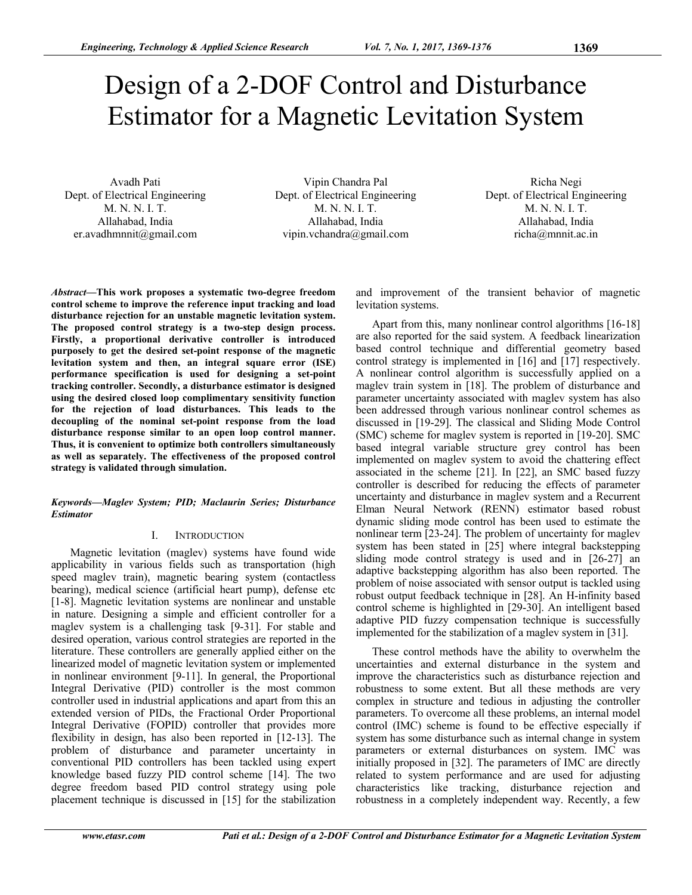# Design of a 2-DOF Control and Disturbance Estimator for a Magnetic Levitation System

Avadh Pati Dept. of Electrical Engineering M. N. N. I. T. Allahabad, India er.avadhmnnit@gmail.com

Vipin Chandra Pal Dept. of Electrical Engineering M. N. N. I. T. Allahabad, India vipin.vchandra@gmail.com

Richa Negi Dept. of Electrical Engineering M. N. N. I. T. Allahabad, India richa@mnnit.ac.in

*Abstract***—This work proposes a systematic two-degree freedom control scheme to improve the reference input tracking and load disturbance rejection for an unstable magnetic levitation system. The proposed control strategy is a two-step design process. Firstly, a proportional derivative controller is introduced purposely to get the desired set-point response of the magnetic levitation system and then, an integral square error (ISE) performance specification is used for designing a set-point tracking controller. Secondly, a disturbance estimator is designed using the desired closed loop complimentary sensitivity function for the rejection of load disturbances. This leads to the decoupling of the nominal set-point response from the load disturbance response similar to an open loop control manner. Thus, it is convenient to optimize both controllers simultaneously as well as separately. The effectiveness of the proposed control strategy is validated through simulation.** 

## *Keywords—Maglev System; PID; Maclaurin Series; Disturbance Estimator*

# I. INTRODUCTION

 Magnetic levitation (maglev) systems have found wide applicability in various fields such as transportation (high speed maglev train), magnetic bearing system (contactless bearing), medical science (artificial heart pump), defense etc [1-8]. Magnetic levitation systems are nonlinear and unstable in nature. Designing a simple and efficient controller for a maglev system is a challenging task [9-31]. For stable and desired operation, various control strategies are reported in the literature. These controllers are generally applied either on the linearized model of magnetic levitation system or implemented in nonlinear environment [9-11]. In general, the Proportional Integral Derivative (PID) controller is the most common controller used in industrial applications and apart from this an extended version of PIDs, the Fractional Order Proportional Integral Derivative (FOPID) controller that provides more flexibility in design, has also been reported in [12-13]. The problem of disturbance and parameter uncertainty in conventional PID controllers has been tackled using expert knowledge based fuzzy PID control scheme [14]. The two degree freedom based PID control strategy using pole placement technique is discussed in [15] for the stabilization

and improvement of the transient behavior of magnetic levitation systems.

Apart from this, many nonlinear control algorithms [16-18] are also reported for the said system. A feedback linearization based control technique and differential geometry based control strategy is implemented in [16] and [17] respectively. A nonlinear control algorithm is successfully applied on a maglev train system in [18]. The problem of disturbance and parameter uncertainty associated with maglev system has also been addressed through various nonlinear control schemes as discussed in [19-29]. The classical and Sliding Mode Control (SMC) scheme for maglev system is reported in [19-20]. SMC based integral variable structure grey control has been implemented on maglev system to avoid the chattering effect associated in the scheme [21]. In [22], an SMC based fuzzy controller is described for reducing the effects of parameter uncertainty and disturbance in maglev system and a Recurrent Elman Neural Network (RENN) estimator based robust dynamic sliding mode control has been used to estimate the nonlinear term [23-24]. The problem of uncertainty for maglev system has been stated in [25] where integral backstepping sliding mode control strategy is used and in [26-27] an adaptive backstepping algorithm has also been reported. The problem of noise associated with sensor output is tackled using robust output feedback technique in [28]. An H-infinity based control scheme is highlighted in [29-30]. An intelligent based adaptive PID fuzzy compensation technique is successfully implemented for the stabilization of a maglev system in [31].

These control methods have the ability to overwhelm the uncertainties and external disturbance in the system and improve the characteristics such as disturbance rejection and robustness to some extent. But all these methods are very complex in structure and tedious in adjusting the controller parameters. To overcome all these problems, an internal model control (IMC) scheme is found to be effective especially if system has some disturbance such as internal change in system parameters or external disturbances on system. IMC was initially proposed in [32]. The parameters of IMC are directly related to system performance and are used for adjusting characteristics like tracking, disturbance rejection and robustness in a completely independent way. Recently, a few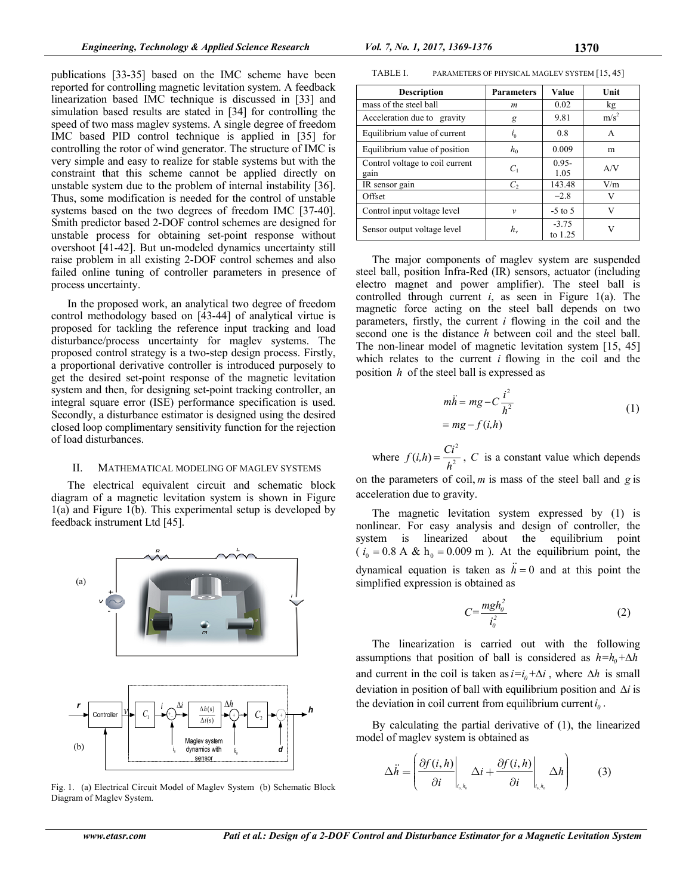publications [33-35] based on the IMC scheme have been reported for controlling magnetic levitation system. A feedback linearization based IMC technique is discussed in [33] and simulation based results are stated in [34] for controlling the speed of two mass maglev systems. A single degree of freedom IMC based PID control technique is applied in [35] for controlling the rotor of wind generator. The structure of IMC is very simple and easy to realize for stable systems but with the constraint that this scheme cannot be applied directly on unstable system due to the problem of internal instability [36]. Thus, some modification is needed for the control of unstable systems based on the two degrees of freedom IMC [37-40]. Smith predictor based 2-DOF control schemes are designed for unstable process for obtaining set-point response without overshoot [41-42]. But un-modeled dynamics uncertainty still raise problem in all existing 2-DOF control schemes and also failed online tuning of controller parameters in presence of process uncertainty.

In the proposed work, an analytical two degree of freedom control methodology based on [43-44] of analytical virtue is proposed for tackling the reference input tracking and load disturbance/process uncertainty for maglev systems. The proposed control strategy is a two-step design process. Firstly, a proportional derivative controller is introduced purposely to get the desired set-point response of the magnetic levitation system and then, for designing set-point tracking controller, an integral square error (ISE) performance specification is used. Secondly, a disturbance estimator is designed using the desired closed loop complimentary sensitivity function for the rejection of load disturbances.

## II. MATHEMATICAL MODELING OF MAGLEV SYSTEMS

The electrical equivalent circuit and schematic block diagram of a magnetic levitation system is shown in Figure 1(a) and Figure 1(b). This experimental setup is developed by feedback instrument Ltd [45].



Fig. 1. (a) Electrical Circuit Model of Maglev System (b) Schematic Block Diagram of Maglev System.

| TABLE I. | PARAMETERS OF PHYSICAL MAGLEV SYSTEM [15, 45] |  |  |
|----------|-----------------------------------------------|--|--|
|----------|-----------------------------------------------|--|--|

| <b>Description</b>              | <b>Parameters</b> | Value              | Unit             |
|---------------------------------|-------------------|--------------------|------------------|
| mass of the steel ball          | m                 | 0.02               | kg               |
| Acceleration due to gravity     | g                 | 9.81               | m/s <sup>2</sup> |
| Equilibrium value of current    | $l_0$             | 0.8                | A                |
| Equilibrium value of position   | $h_0$             | 0.009              | m                |
| Control voltage to coil current | $C_1$             | $0.95 -$           | A/V              |
| gain                            |                   | 1.05               |                  |
| IR sensor gain                  | $\mathcal{C}_{2}$ | 143.48             | V/m              |
| Offset                          |                   | $-2.8$             |                  |
| Control input voltage level     | $\mathcal V$      | $-5$ to 5          | v                |
| Sensor output voltage level     | $h_{v}$           | $-3.75$<br>to 1.25 |                  |

The major components of maglev system are suspended steel ball, position Infra-Red (IR) sensors, actuator (including electro magnet and power amplifier). The steel ball is controlled through current *i*, as seen in Figure 1(a). The magnetic force acting on the steel ball depends on two parameters, firstly, the current *i* flowing in the coil and the second one is the distance *h* between coil and the steel ball. The non-linear model of magnetic levitation system [15, 45] which relates to the current *i* flowing in the coil and the position *h* of the steel ball is expressed as

$$
m\ddot{h} = mg - C\frac{i^2}{h^2}
$$
  
= mg - f(i,h) (1)

where  $f(i, h) = \frac{Ci^2}{h^2}$ , *C* is a constant value which depends

on the parameters of coil, *m* is mass of the steel ball and *g* is acceleration due to gravity.

The magnetic levitation system expressed by (1) is nonlinear. For easy analysis and design of controller, the system is linearized about the equilibrium point  $(i_0 = 0.8 \text{ A} \& \text{h}_0 = 0.009 \text{ m})$ . At the equilibrium point, the dynamical equation is taken as  $\ddot{h} = 0$  and at this point the simplified expression is obtained as

$$
C = \frac{mgh_o^2}{i_o^2} \tag{2}
$$

The linearization is carried out with the following assumptions that position of ball is considered as  $h=h_0+\Delta h$ and current in the coil is taken as  $i=i_0+\Delta i$ , where  $\Delta h$  is small deviation in position of ball with equilibrium position and  $\Delta i$  is the deviation in coil current from equilibrium current  $i<sub>o</sub>$ .

By calculating the partial derivative of (1), the linearized model of maglev system is obtained as

$$
\Delta \ddot{h} = \left( \frac{\partial f(i, h)}{\partial i} \bigg|_{i_{\scriptscriptstyle{0}, b_{\scriptscriptstyle{0}}}} \Delta i + \frac{\partial f(i, h)}{\partial i} \bigg|_{i_{\scriptscriptstyle{0}, b_{\scriptscriptstyle{0}}}} \Delta h \right) \tag{3}
$$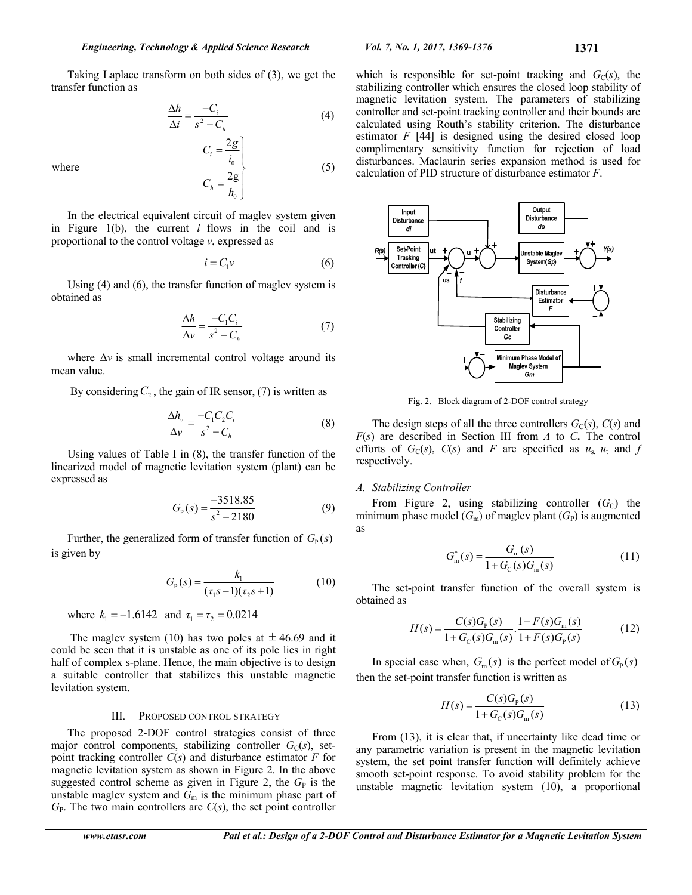$$
\frac{\Delta h}{\Delta i} = \frac{-C_i}{s^2 - C_h} \tag{4}
$$

 $\mathbf{0}$ 

2g

 $=\frac{2g}{h_0}$ 

2

 $=\frac{2g}{i_0}$ 

 $C_i = \frac{2g}{i_0}$ 

*i*

*h*

 $C_h = \frac{2}{h}$ 

where  $\frac{1}{2}$ 

In the electrical equivalent circuit of maglev system given in Figure 1(b), the current *i* flows in the coil and is proportional to the control voltage *v*, expressed as

$$
i = C_1 v \tag{6}
$$

(5)

Using (4) and (6), the transfer function of maglev system is obtained as

$$
\frac{\Delta h}{\Delta v} = \frac{-C_1 C_i}{s^2 - C_h} \tag{7}
$$

where  $\Delta v$  is small incremental control voltage around its mean value.

By considering  $C_2$ , the gain of IR sensor, (7) is written as

$$
\frac{\Delta h_{\nu}}{\Delta \nu} = \frac{-C_1 C_2 C_i}{s^2 - C_h} \tag{8}
$$

Using values of Table I in (8), the transfer function of the linearized model of magnetic levitation system (plant) can be expressed as

$$
G_{\rm p}(s) = \frac{-3518.85}{s^2 - 2180} \tag{9}
$$

Further, the generalized form of transfer function of  $G<sub>p</sub>(s)$ is given by

$$
G_{\rm p}(s) = \frac{k_1}{(\tau_1 s - 1)(\tau_2 s + 1)}\tag{10}
$$

where  $k_1 = -1.6142$  and  $\tau_1 = \tau_2 = 0.0214$ 

The maglev system (10) has two poles at  $\pm$  46.69 and it could be seen that it is unstable as one of its pole lies in right half of complex s-plane. Hence, the main objective is to design a suitable controller that stabilizes this unstable magnetic levitation system.

#### III. PROPOSED CONTROL STRATEGY

The proposed 2-DOF control strategies consist of three major control components, stabilizing controller  $G_C(s)$ , setpoint tracking controller *C*(*s*) and disturbance estimator *F* for magnetic levitation system as shown in Figure 2. In the above suggested control scheme as given in Figure 2, the  $G<sub>P</sub>$  is the unstable maglev system and  $\bar{G}_{\rm m}$  is the minimum phase part of  $G<sub>P</sub>$ . The two main controllers are  $C(s)$ , the set point controller



Fig. 2. Block diagram of 2-DOF control strategy

The design steps of all the three controllers  $G_C(s)$ ,  $C(s)$  and *F*(*s*) are described in Section III from *A* to *C***.** The control efforts of  $G_C(s)$ ,  $C(s)$  and *F* are specified as  $u_s u_t$  and *f* respectively.

#### *A. Stabilizing Controller*

From Figure 2, using stabilizing controller  $(G<sub>C</sub>)$  the minimum phase model  $(G_m)$  of maglev plant  $(G_P)$  is augmented as

$$
G_{\rm m}^*(s) = \frac{G_{\rm m}(s)}{1 + G_{\rm C}(s)G_{\rm m}(s)}\tag{11}
$$

The set-point transfer function of the overall system is obtained as

$$
H(s) = \frac{C(s)G_{\rm p}(s)}{1 + G_{\rm c}(s)G_{\rm m}(s)} \cdot \frac{1 + F(s)G_{\rm m}(s)}{1 + F(s)G_{\rm p}(s)}\tag{12}
$$

In special case when,  $G_m(s)$  is the perfect model of  $G_p(s)$ then the set-point transfer function is written as

$$
H(s) = \frac{C(s)G_{p}(s)}{1 + G_{c}(s)G_{m}(s)}
$$
(13)

From (13), it is clear that, if uncertainty like dead time or any parametric variation is present in the magnetic levitation system, the set point transfer function will definitely achieve smooth set-point response. To avoid stability problem for the unstable magnetic levitation system (10), a proportional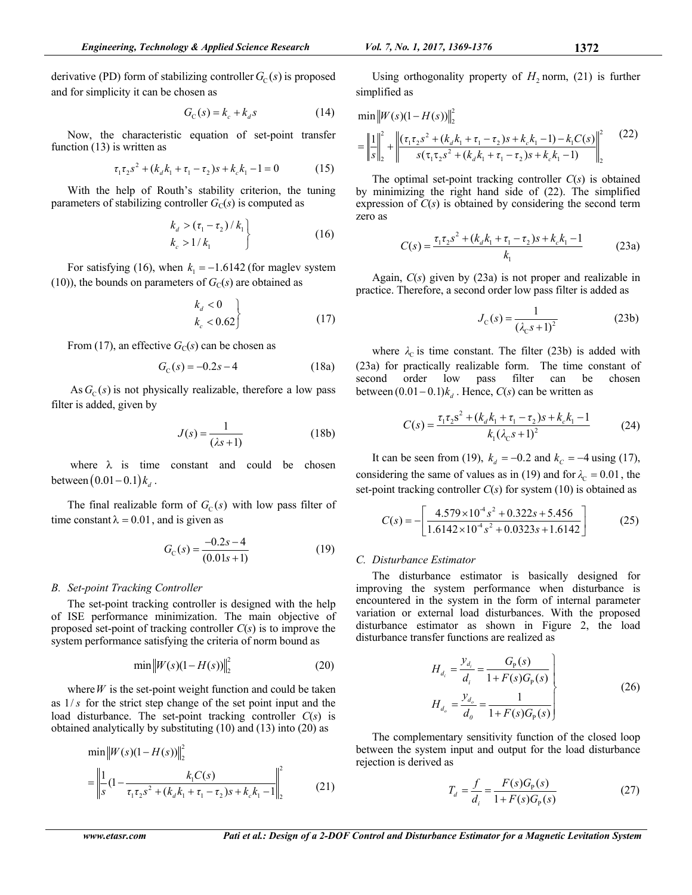derivative (PD) form of stabilizing controller  $G<sub>C</sub>(s)$  is proposed and for simplicity it can be chosen as

$$
G_{\rm C}(s) = k_c + k_d s \tag{14}
$$

Now, the characteristic equation of set-point transfer function (13) is written as

$$
\tau_1 \tau_2 s^2 + (k_a k_1 + \tau_1 - \tau_2) s + k_c k_1 - 1 = 0 \tag{15}
$$

With the help of Routh's stability criterion, the tuning parameters of stabilizing controller  $G<sub>C</sub>(s)$  is computed as

$$
\begin{cases}\nk_d > (\tau_1 - \tau_2) / k_1 \\
k_c > 1 / k_1\n\end{cases} \tag{16}
$$

For satisfying (16), when  $k_1 = -1.6142$  (for maglev system (10)), the bounds on parameters of  $G<sub>C</sub>(s)$  are obtained as

$$
\begin{aligned}\nk_d &< 0 \\
k_c &< 0.62\n\end{aligned}\n\tag{17}
$$

From (17), an effective  $G_C(s)$  can be chosen as

$$
G_{\rm C}(s) = -0.2s - 4 \tag{18a}
$$

As  $G<sub>c</sub>(s)$  is not physically realizable, therefore a low pass filter is added, given by

$$
J(s) = \frac{1}{(\lambda s + 1)}\tag{18b}
$$

where  $\lambda$  is time constant and could be chosen between  $(0.01 - 0.1) k_d$ .

The final realizable form of  $G_C(s)$  with low pass filter of time constant  $\lambda = 0.01$ , and is given as

$$
G_{\rm C}(s) = \frac{-0.2s - 4}{(0.01s + 1)}
$$
\n(19)

#### *B. Set-point Tracking Controller*

The set-point tracking controller is designed with the help of ISE performance minimization. The main objective of proposed set-point of tracking controller *C*(*s*) is to improve the system performance satisfying the criteria of norm bound as

$$
\min \|W(s)(1 - H(s))\|_2^2
$$
 (20)

where  $W$  is the set-point weight function and could be taken as 1/ *s* for the strict step change of the set point input and the load disturbance. The set-point tracking controller *C*(*s*) is obtained analytically by substituting (10) and (13) into (20) as

$$
\min \|W(s)(1 - H(s))\|_2^2
$$
  
= 
$$
\left\| \frac{1}{s} (1 - \frac{k_1 C(s)}{\tau_1 \tau_2 s^2 + (k_d k_1 + \tau_1 - \tau_2) s + k_c k_1 - 1} \right\|_2^2
$$
 (21)

Using orthogonality property of  $H_2$  norm, (21) is further simplified as

$$
\min \|W(s)(1 - H(s))\|_{2}^{2}
$$
\n
$$
= \left\|\frac{1}{s}\right\|_{2}^{2} + \left\|\frac{(\tau_{1}\tau_{2}s^{2} + (k_{d}k_{1} + \tau_{1} - \tau_{2})s + k_{c}k_{1} - 1) - k_{1}C(s)}{s(\tau_{1}\tau_{2}s^{2} + (k_{d}k_{1} + \tau_{1} - \tau_{2})s + k_{c}k_{1} - 1)}\right\|_{2}^{2}
$$
\n(22)

The optimal set-point tracking controller *C*(*s*) is obtained by minimizing the right hand side of (22). The simplified expression of  $C(s)$  is obtained by considering the second term zero as

$$
C(s) = \frac{\tau_1 \tau_2 s^2 + (k_d k_1 + \tau_1 - \tau_2)s + k_c k_1 - 1}{k_1}
$$
 (23a)

Again, *C*(*s*) given by (23a) is not proper and realizable in practice. Therefore, a second order low pass filter is added as

$$
J_{\rm C}(s) = \frac{1}{(\lambda_{\rm C}s + 1)^2}
$$
 (23b)

where  $\lambda_c$  is time constant. The filter (23b) is added with (23a) for practically realizable form. The time constant of second order low pass filter can be chosen between  $(0.01 - 0.1) k_d$ . Hence,  $C(s)$  can be written as

$$
C(s) = \frac{\tau_1 \tau_2 s^2 + (k_d k_1 + \tau_1 - \tau_2)s + k_c k_1 - 1}{k_1 (\lambda_c s + 1)^2}
$$
 (24)

It can be seen from (19),  $k_d = -0.2$  and  $k_c = -4$  using (17), considering the same of values as in (19) and for  $\lambda_c = 0.01$ , the set-point tracking controller *C*(*s*) for system (10) is obtained as

$$
C(s) = -\left[\frac{4.579 \times 10^{-4} s^2 + 0.322 s + 5.456}{1.6142 \times 10^{-4} s^2 + 0.0323 s + 1.6142}\right]
$$
(25)

#### *C. Disturbance Estimator*

The disturbance estimator is basically designed for improving the system performance when disturbance is encountered in the system in the form of internal parameter variation or external load disturbances. With the proposed disturbance estimator as shown in Figure 2, the load disturbance transfer functions are realized as

$$
H_{d_i} = \frac{y_{d_i}}{d_i} = \frac{G_{P}(s)}{1 + F(s)G_{P}(s)}
$$
  
\n
$$
H_{d_o} = \frac{y_{d_o}}{d_o} = \frac{1}{1 + F(s)G_{P}(s)}
$$
\n(26)

The complementary sensitivity function of the closed loop between the system input and output for the load disturbance rejection is derived as

$$
T_d = \frac{f}{d_i} = \frac{F(s)G_p(s)}{1 + F(s)G_p(s)}\tag{27}
$$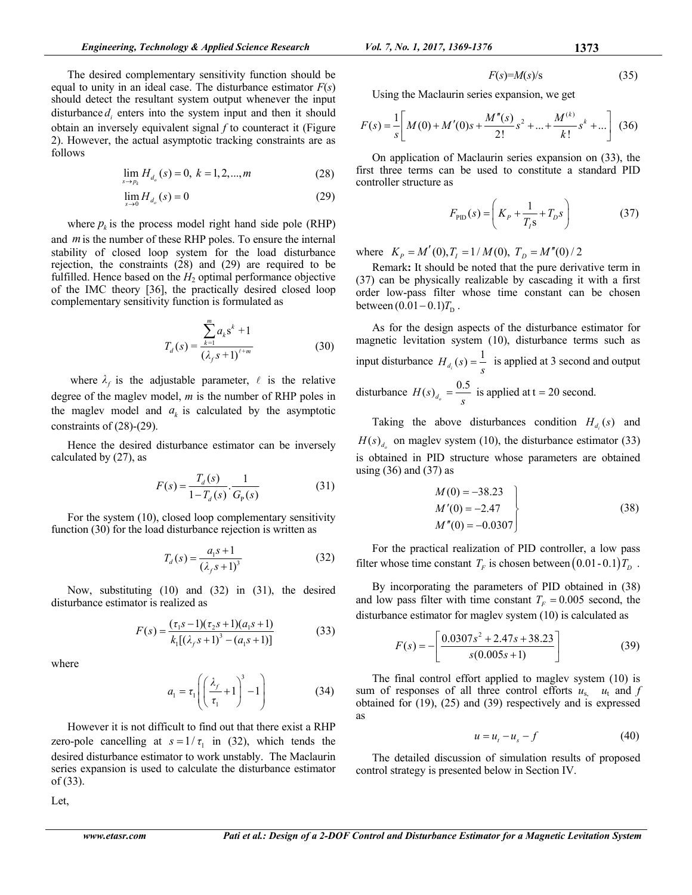The desired complementary sensitivity function should be equal to unity in an ideal case. The disturbance estimator *F*(*s*) should detect the resultant system output whenever the input disturbance  $d_i$  enters into the system input and then it should obtain an inversely equivalent signal *f* to counteract it (Figure 2). However, the actual asymptotic tracking constraints are as follows

$$
\lim_{s \to p_k} H_{d_o}(s) = 0, \ k = 1, 2, ..., m \tag{28}
$$

$$
\lim_{s \to 0} H_{d_s}(s) = 0 \tag{29}
$$

where  $p_k$  is the process model right hand side pole (RHP) and *m*is the number of these RHP poles. To ensure the internal stability of closed loop system for the load disturbance rejection, the constraints (28) and (29) are required to be fulfilled. Hence based on the  $H<sub>2</sub>$  optimal performance objective of the IMC theory [36], the practically desired closed loop complementary sensitivity function is formulated as

$$
T_d(s) = \frac{\sum_{k=1}^{m} a_k s^k + 1}{(\lambda_f s + 1)^{\ell+m}}
$$
(30)

where  $\lambda_f$  is the adjustable parameter,  $\ell$  is the relative degree of the maglev model, *m* is the number of RHP poles in the maglev model and  $a_k$  is calculated by the asymptotic constraints of (28)-(29).

Hence the desired disturbance estimator can be inversely calculated by (27), as

$$
F(s) = \frac{T_d(s)}{1 - T_d(s)} \cdot \frac{1}{G_p(s)}
$$
(31)

For the system (10), closed loop complementary sensitivity function (30) for the load disturbance rejection is written as

$$
T_d(s) = \frac{a_1 s + 1}{(\lambda_f s + 1)^3}
$$
 (32)

Now, substituting (10) and (32) in (31), the desired disturbance estimator is realized as

$$
F(s) = \frac{(\tau_1 s - 1)(\tau_2 s + 1)(a_1 s + 1)}{k_1[(\lambda_f s + 1)^3 - (a_1 s + 1)]}
$$
(33)

where

$$
a_1 = \tau_1 \left( \left( \frac{\lambda_f}{\tau_1} + 1 \right)^3 - 1 \right) \tag{34}
$$

However it is not difficult to find out that there exist a RHP zero-pole cancelling at  $s = 1/\tau_1$  in (32), which tends the desired disturbance estimator to work unstably. The Maclaurin series expansion is used to calculate the disturbance estimator of (33).

Let,

$$
F(s)=M(s)/s\tag{35}
$$

Using the Maclaurin series expansion, we get

$$
F(s) = \frac{1}{s} \left[ M(0) + M'(0)s + \frac{M''(s)}{2!} s^2 + \dots + \frac{M^{(k)}}{k!} s^k + \dots \right] (36)
$$

On application of Maclaurin series expansion on (33), the first three terms can be used to constitute a standard PID controller structure as

$$
F_{\rm PID}(s) = \left( K_P + \frac{1}{T_1 s} + T_D s \right)
$$
 (37)

where  $K_p = M'(0), T_I = 1/M(0), T_D = M''(0)/2$ 

Remark**:** It should be noted that the pure derivative term in (37) can be physically realizable by cascading it with a first order low-pass filter whose time constant can be chosen between  $(0.01 - 0.1) T_{\text{D}}$ .

As for the design aspects of the disturbance estimator for magnetic levitation system (10), disturbance terms such as input disturbance  $H_{d_i}(s) = \frac{1}{s_i}$  is applied at 3 second and output disturbance  $H(s)_{d_0} = \frac{0.5}{s}$  is applied at t = 20 second.

Taking the above disturbances condition  $H_{d_i}(s)$  and  $H(s)$  on maglev system (10), the disturbance estimator (33) is obtained in PID structure whose parameters are obtained using  $(36)$  and  $(37)$  as

$$
M(0) = -38.23
$$
  
\n
$$
M'(0) = -2.47
$$
  
\n
$$
M''(0) = -0.0307
$$
\n(38)

For the practical realization of PID controller, a low pass filter whose time constant  $T_F$  is chosen between  $(0.01 - 0.1)T_D$ .

By incorporating the parameters of PID obtained in (38) and low pass filter with time constant  $T_F = 0.005$  second, the disturbance estimator for maglev system (10) is calculated as

$$
F(s) = -\left[\frac{0.0307s^2 + 2.47s + 38.23}{s(0.005s + 1)}\right]
$$
(39)

The final control effort applied to maglev system (10) is sum of responses of all three control efforts  $u_s$ ,  $u_t$  and  $f$ obtained for (19), (25) and (39) respectively and is expressed as

$$
u = u_t - u_s - f \tag{40}
$$

The detailed discussion of simulation results of proposed control strategy is presented below in Section IV.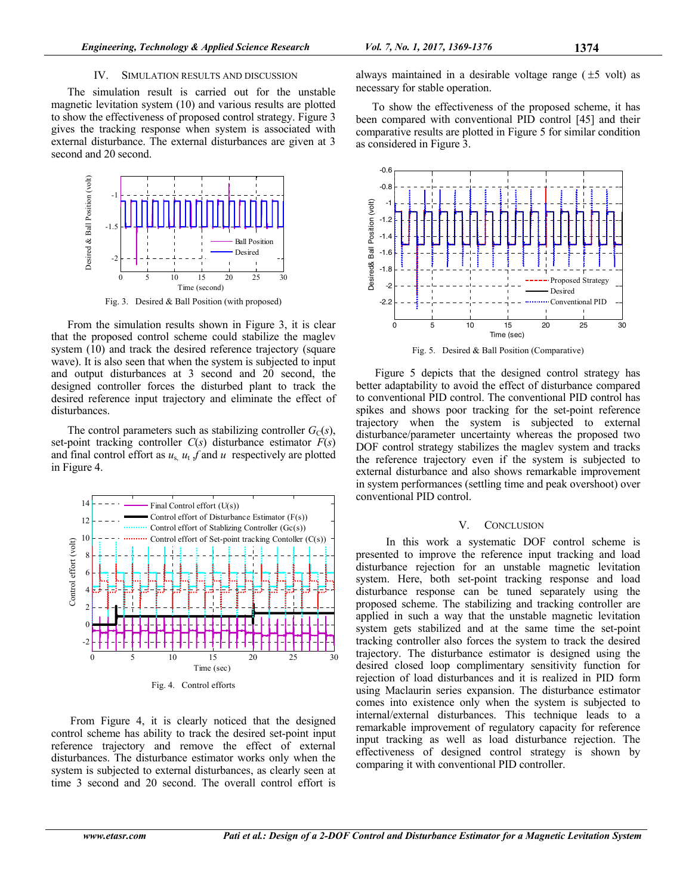## IV. SIMULATION RESULTS AND DISCUSSION

The simulation result is carried out for the unstable magnetic levitation system (10) and various results are plotted to show the effectiveness of proposed control strategy. Figure 3 gives the tracking response when system is associated with external disturbance. The external disturbances are given at 3 second and 20 second.



Fig. 3. Desired & Ball Position (with proposed)

From the simulation results shown in Figure 3, it is clear that the proposed control scheme could stabilize the maglev system (10) and track the desired reference trajectory (square wave). It is also seen that when the system is subjected to input and output disturbances at 3 second and 20 second, the designed controller forces the disturbed plant to track the desired reference input trajectory and eliminate the effect of disturbances.

The control parameters such as stabilizing controller  $G<sub>C</sub>(s)$ , set-point tracking controller *C*(*s*) disturbance estimator *F*(*s*) and final control effort as  $u_s$ ,  $u_t$ ,  $f$  and  $u$  respectively are plotted in Figure 4.



 From Figure 4, it is clearly noticed that the designed control scheme has ability to track the desired set-point input reference trajectory and remove the effect of external disturbances. The disturbance estimator works only when the system is subjected to external disturbances, as clearly seen at time 3 second and 20 second. The overall control effort is

always maintained in a desirable voltage range  $(\pm 5 \text{ volt})$  as necessary for stable operation.

To show the effectiveness of the proposed scheme, it has been compared with conventional PID control [45] and their comparative results are plotted in Figure 5 for similar condition as considered in Figure 3.



Fig. 5. Desired & Ball Position (Comparative)

 Figure 5 depicts that the designed control strategy has better adaptability to avoid the effect of disturbance compared to conventional PID control. The conventional PID control has spikes and shows poor tracking for the set-point reference trajectory when the system is subjected to external disturbance/parameter uncertainty whereas the proposed two DOF control strategy stabilizes the maglev system and tracks the reference trajectory even if the system is subjected to external disturbance and also shows remarkable improvement in system performances (settling time and peak overshoot) over conventional PID control.

#### V. CONCLUSION

 In this work a systematic DOF control scheme is presented to improve the reference input tracking and load disturbance rejection for an unstable magnetic levitation system. Here, both set-point tracking response and load disturbance response can be tuned separately using the proposed scheme. The stabilizing and tracking controller are applied in such a way that the unstable magnetic levitation system gets stabilized and at the same time the set-point tracking controller also forces the system to track the desired trajectory. The disturbance estimator is designed using the desired closed loop complimentary sensitivity function for rejection of load disturbances and it is realized in PID form using Maclaurin series expansion. The disturbance estimator comes into existence only when the system is subjected to internal/external disturbances. This technique leads to a remarkable improvement of regulatory capacity for reference input tracking as well as load disturbance rejection. The effectiveness of designed control strategy is shown by comparing it with conventional PID controller.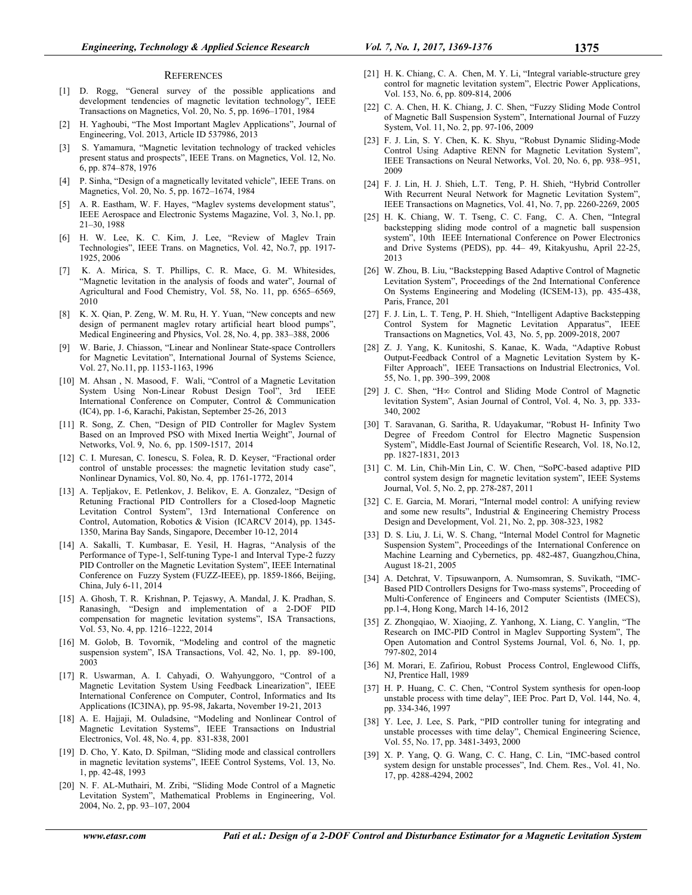#### **REFERENCES**

- [1] D. Rogg, "General survey of the possible applications and development tendencies of magnetic levitation technology", IEEE Transactions on Magnetics, Vol. 20, No. 5, pp. 1696–1701, 1984
- [2] H. Yaghoubi, "The Most Important Maglev Applications", Journal of Engineering, Vol. 2013, Article ID 537986, 2013
- [3] S. Yamamura, "Magnetic levitation technology of tracked vehicles present status and prospects", IEEE Trans. on Magnetics, Vol. 12, No. 6, pp. 874–878, 1976
- [4] P. Sinha, "Design of a magnetically levitated vehicle", IEEE Trans. on Magnetics, Vol. 20, No. 5, pp. 1672–1674, 1984
- [5] A. R. Eastham, W. F. Hayes, "Maglev systems development status", IEEE Aerospace and Electronic Systems Magazine, Vol. 3, No.1, pp. 21–30, 1988
- [6] H. W. Lee, K. C. Kim, J. Lee, "Review of Maglev Train Technologies", IEEE Trans. on Magnetics, Vol. 42, No.7, pp. 1917- 1925, 2006
- K. A. Mirica, S. T. Phillips, C. R. Mace, G. M. Whitesides, "Magnetic levitation in the analysis of foods and water", Journal of Agricultural and Food Chemistry, Vol. 58, No. 11, pp. 6565–6569, 2010
- [8] K. X. Qian, P. Zeng, W. M. Ru, H. Y. Yuan, "New concepts and new design of permanent maglev rotary artificial heart blood pumps", Medical Engineering and Physics, Vol. 28, No. 4, pp. 383–388, 2006
- [9] W. Barie, J. Chiasson, "Linear and Nonlinear State-space Controllers for Magnetic Levitation", International Journal of Systems Science, Vol. 27, No.11, pp. 1153-1163, 1996
- [10] M. Ahsan, N. Masood, F. Wali, "Control of a Magnetic Levitation System Using Non-Linear Robust Design Tool", 3rd IEEE International Conference on Computer, Control & Communication (IC4), pp. 1-6, Karachi, Pakistan, September 25-26, 2013
- [11] R. Song, Z. Chen, "Design of PID Controller for Maglev System Based on an Improved PSO with Mixed Inertia Weight", Journal of Networks, Vol. 9, No. 6, pp. 1509-1517, 2014
- [12] C. I. Muresan, C. Ionescu, S. Folea, R. D. Keyser, "Fractional order control of unstable processes: the magnetic levitation study case", Nonlinear Dynamics, Vol. 80, No. 4, pp. 1761-1772, 2014
- [13] A. Tepljakov, E. Petlenkov, J. Belikov, E. A. Gonzalez, "Design of Retuning Fractional PID Controllers for a Closed-loop Magnetic Levitation Control System", 13rd International Conference on Control, Automation, Robotics & Vision (ICARCV 2014), pp. 1345- 1350, Marina Bay Sands, Singapore, December 10-12, 2014
- [14] A. Sakalli, T. Kumbasar, E. Yesil, H. Hagras, "Analysis of the Performance of Type-1, Self-tuning Type-1 and Interval Type-2 fuzzy PID Controller on the Magnetic Levitation System", IEEE Internatinal Conference on Fuzzy System (FUZZ-IEEE), pp. 1859-1866, Beijing, China, July 6-11, 2014
- [15] A. Ghosh, T. R. Krishnan, P. Tejaswy, A. Mandal, J. K. Pradhan, S. Ranasingh, "Design and implementation of a 2-DOF PID compensation for magnetic levitation systems", ISA Transactions, Vol. 53, No. 4, pp. 1216–1222, 2014
- [16] M. Golob, B. Tovornik, "Modeling and control of the magnetic suspension system", ISA Transactions, Vol. 42, No. 1, pp. 89-100, 2003
- [17] R. Uswarman, A. I. Cahyadi, O. Wahyunggoro, "Control of a Magnetic Levitation System Using Feedback Linearization", IEEE International Conference on Computer, Control, Informatics and Its Applications (IC3INA), pp. 95-98, Jakarta, November 19-21, 2013
- [18] A. E. Hajjaji, M. Ouladsine, "Modeling and Nonlinear Control of Magnetic Levitation Systems", IEEE Transactions on Industrial Electronics, Vol. 48, No. 4, pp. 831-838, 2001
- [19] D. Cho, Y. Kato, D. Spilman, "Sliding mode and classical controllers in magnetic levitation systems", IEEE Control Systems, Vol. 13, No. 1, pp. 42-48, 1993
- [20] N. F. AL-Muthairi, M. Zribi, "Sliding Mode Control of a Magnetic Levitation System", Mathematical Problems in Engineering, Vol. 2004, No. 2, pp. 93–107, 2004
- [22] C. A. Chen, H. K. Chiang, J. C. Shen, "Fuzzy Sliding Mode Control of Magnetic Ball Suspension System", International Journal of Fuzzy System, Vol. 11, No. 2, pp. 97-106, 2009
- [23] F. J. Lin, S. Y. Chen, K. K. Shyu, "Robust Dynamic Sliding-Mode Control Using Adaptive RENN for Magnetic Levitation System", IEEE Transactions on Neural Networks, Vol. 20, No. 6, pp. 938–951, 2009
- [24] F. J. Lin, H. J. Shieh, L.T. Teng, P. H. Shieh, "Hybrid Controller With Recurrent Neural Network for Magnetic Levitation System", IEEE Transactions on Magnetics, Vol. 41, No. 7, pp. 2260-2269, 2005
- [25] H. K. Chiang, W. T. Tseng, C. C. Fang, C. A. Chen, "Integral backstepping sliding mode control of a magnetic ball suspension system", 10th IEEE International Conference on Power Electronics and Drive Systems (PEDS), pp. 44– 49, Kitakyushu, April 22-25, 2013
- [26] W. Zhou, B. Liu, "Backstepping Based Adaptive Control of Magnetic Levitation System", Proceedings of the 2nd International Conference On Systems Engineering and Modeling (ICSEM-13), pp. 435-438, Paris, France, 201
- [27] F. J. Lin, L. T. Teng, P. H. Shieh, "Intelligent Adaptive Backstepping Control System for Magnetic Levitation Apparatus", IEEE Transactions on Magnetics, Vol. 43, No. 5, pp. 2009-2018, 2007
- [28] Z. J. Yang, K. Kunitoshi, S. Kanae, K. Wada, "Adaptive Robust Output-Feedback Control of a Magnetic Levitation System by K-Filter Approach", IEEE Transactions on Industrial Electronics, Vol. 55, No. 1, pp. 390–399, 2008
- [29] J. C. Shen, "H∞ Control and Sliding Mode Control of Magnetic levitation System", Asian Journal of Control, Vol. 4, No. 3, pp. 333- 340, 2002
- [30] T. Saravanan, G. Saritha, R. Udayakumar, "Robust H- Infinity Two Degree of Freedom Control for Electro Magnetic Suspension System", Middle-East Journal of Scientific Research, Vol. 18, No.12, pp. 1827-1831, 2013
- [31] C. M. Lin, Chih-Min Lin, C. W. Chen, "SoPC-based adaptive PID control system design for magnetic levitation system", IEEE Systems Journal, Vol. 5, No. 2, pp. 278-287, 2011
- [32] C. E. Garcia, M. Morari, "Internal model control: A unifying review and some new results", Industrial & Engineering Chemistry Process Design and Development, Vol. 21, No. 2, pp. 308-323, 1982
- [33] D. S. Liu, J. Li, W. S. Chang, "Internal Model Control for Magnetic Suspension System", Proceedings of the International Conference on Machine Learning and Cybernetics, pp. 482-487, Guangzhou,China, August 18-21, 2005
- [34] A. Detchrat, V. Tipsuwanporn, A. Numsomran, S. Suvikath, "IMC-Based PID Controllers Designs for Two-mass systems", Proceeding of Multi-Conference of Engineers and Computer Scientists (IMECS), pp.1-4, Hong Kong, March 14-16, 2012
- [35] Z. Zhongqiao, W. Xiaojing, Z. Yanhong, X. Liang, C. Yanglin, "The Research on IMC-PID Control in Maglev Supporting System", The Open Automation and Control Systems Journal, Vol. 6, No. 1, pp. 797-802, 2014
- [36] M. Morari, E. Zafiriou, Robust Process Control, Englewood Cliffs, NJ, Prentice Hall, 1989
- [37] H. P. Huang, C. C. Chen, "Control System synthesis for open-loop unstable process with time delay", IEE Proc. Part D, Vol. 144, No. 4, pp. 334-346, 1997
- [38] Y. Lee, J. Lee, S. Park, "PID controller tuning for integrating and unstable processes with time delay", Chemical Engineering Science, Vol. 55, No. 17, pp. 3481-3493, 2000
- [39] X. P. Yang, Q. G. Wang, C. C. Hang, C. Lin, "IMC-based control system design for unstable processes", Ind. Chem. Res., Vol. 41, No. 17, pp. 4288-4294, 2002